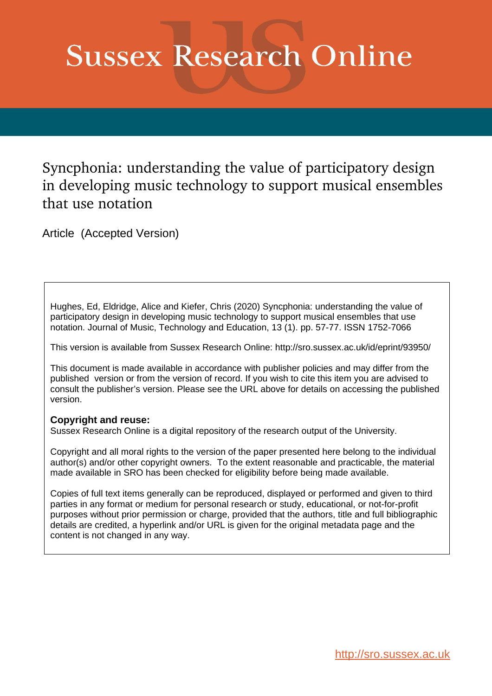# **Sussex Research Online**

Syncphonia: understanding the value of participatory design in developing music technology to support musical ensembles that use notation

Article (Accepted Version)

Hughes, Ed, Eldridge, Alice and Kiefer, Chris (2020) Syncphonia: understanding the value of participatory design in developing music technology to support musical ensembles that use notation. Journal of Music, Technology and Education, 13 (1). pp. 57-77. ISSN 1752-7066

This version is available from Sussex Research Online: http://sro.sussex.ac.uk/id/eprint/93950/

This document is made available in accordance with publisher policies and may differ from the published version or from the version of record. If you wish to cite this item you are advised to consult the publisher's version. Please see the URL above for details on accessing the published version.

# **Copyright and reuse:**

Sussex Research Online is a digital repository of the research output of the University.

Copyright and all moral rights to the version of the paper presented here belong to the individual author(s) and/or other copyright owners. To the extent reasonable and practicable, the material made available in SRO has been checked for eligibility before being made available.

Copies of full text items generally can be reproduced, displayed or performed and given to third parties in any format or medium for personal research or study, educational, or not-for-profit purposes without prior permission or charge, provided that the authors, title and full bibliographic details are credited, a hyperlink and/or URL is given for the original metadata page and the content is not changed in any way.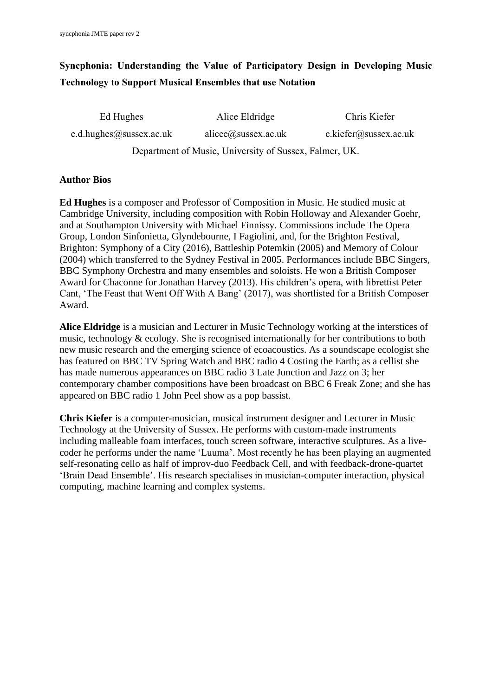# **Syncphonia: Understanding the Value of Participatory Design in Developing Music Technology to Support Musical Ensembles that use Notation**

| Ed Hughes                                              | Alice Eldridge      | Chris Kiefer          |
|--------------------------------------------------------|---------------------|-----------------------|
| e.d.hughes@sussex.ac.uk                                | alicee@sussex.ac.uk | c.kiefer@sussex.ac.uk |
| Department of Music, University of Sussex, Falmer, UK. |                     |                       |

# **Author Bios**

**Ed Hughes** is a composer and Professor of Composition in Music. He studied music at Cambridge University, including composition with Robin Holloway and Alexander Goehr, and at Southampton University with Michael Finnissy. Commissions include The Opera Group, London Sinfonietta, Glyndebourne, I Fagiolini, and, for the Brighton Festival, Brighton: Symphony of a City (2016), Battleship Potemkin (2005) and Memory of Colour (2004) which transferred to the Sydney Festival in 2005. Performances include BBC Singers, BBC Symphony Orchestra and many ensembles and soloists. He won a British Composer Award for Chaconne for Jonathan Harvey (2013). His children's opera, with librettist Peter Cant, 'The Feast that Went Off With A Bang' (2017), was shortlisted for a British Composer Award.

**Alice Eldridge** is a musician and Lecturer in Music Technology working at the interstices of music, technology & ecology. She is recognised internationally for her contributions to both new music research and the emerging science of ecoacoustics. As a soundscape ecologist she has featured on BBC TV Spring Watch and BBC radio 4 Costing the Earth; as a cellist she has made numerous appearances on BBC radio 3 Late Junction and Jazz on 3; her contemporary chamber compositions have been broadcast on BBC 6 Freak Zone; and she has appeared on BBC radio 1 John Peel show as a pop bassist.

**Chris Kiefer** is a computer-musician, musical instrument designer and Lecturer in Music Technology at the University of Sussex. He performs with custom-made instruments including malleable foam interfaces, touch screen software, interactive sculptures. As a livecoder he performs under the name 'Luuma'. Most recently he has been playing an augmented self-resonating cello as half of improv-duo Feedback Cell, and with feedback-drone-quartet 'Brain Dead Ensemble'. His research specialises in musician-computer interaction, physical computing, machine learning and complex systems.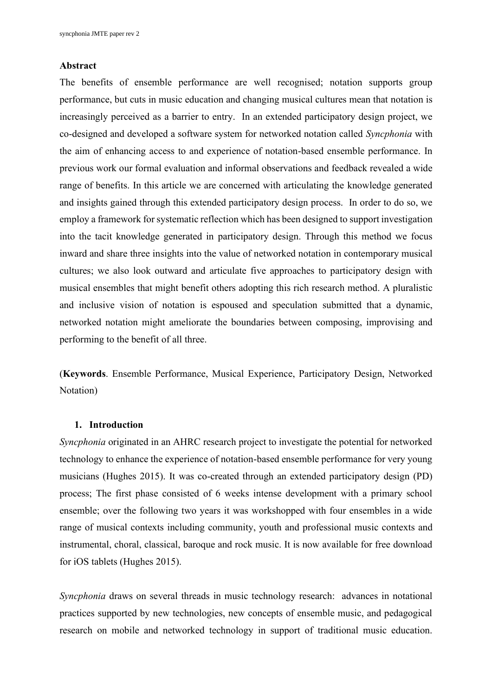#### **Abstract**

The benefits of ensemble performance are well recognised; notation supports group performance, but cuts in music education and changing musical cultures mean that notation is increasingly perceived as a barrier to entry. In an extended participatory design project, we co-designed and developed a software system for networked notation called *Syncphonia* with the aim of enhancing access to and experience of notation-based ensemble performance. In previous work our formal evaluation and informal observations and feedback revealed a wide range of benefits. In this article we are concerned with articulating the knowledge generated and insights gained through this extended participatory design process. In order to do so, we employ a framework for systematic reflection which has been designed to support investigation into the tacit knowledge generated in participatory design. Through this method we focus inward and share three insights into the value of networked notation in contemporary musical cultures; we also look outward and articulate five approaches to participatory design with musical ensembles that might benefit others adopting this rich research method. A pluralistic and inclusive vision of notation is espoused and speculation submitted that a dynamic, networked notation might ameliorate the boundaries between composing, improvising and performing to the benefit of all three.

(**Keywords**. Ensemble Performance, Musical Experience, Participatory Design, Networked Notation)

#### **1. Introduction**

*Syncphonia* originated in an AHRC research project to investigate the potential for networked technology to enhance the experience of notation-based ensemble performance for very young musicians (Hughes 2015). It was co-created through an extended participatory design (PD) process; The first phase consisted of 6 weeks intense development with a primary school ensemble; over the following two years it was workshopped with four ensembles in a wide range of musical contexts including community, youth and professional music contexts and instrumental, choral, classical, baroque and rock music. It is now available for free download for iOS tablets (Hughes 2015).

*Syncphonia* draws on several threads in music technology research: advances in notational practices supported by new technologies, new concepts of ensemble music, and pedagogical research on mobile and networked technology in support of traditional music education.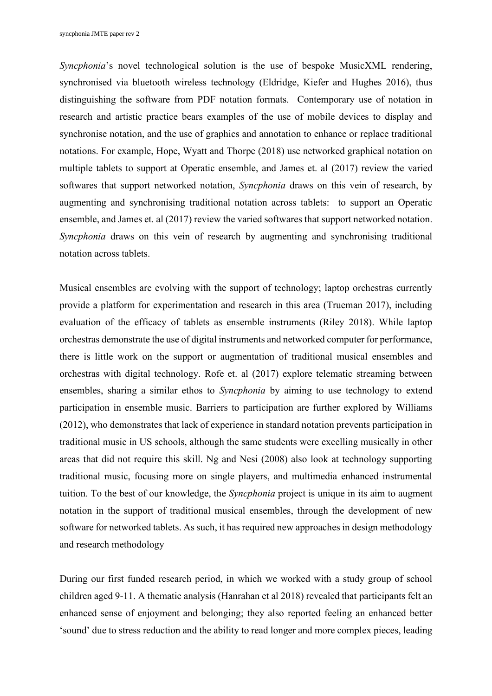*Syncphonia*'s novel technological solution is the use of bespoke MusicXML rendering, synchronised via bluetooth wireless technology (Eldridge, Kiefer and Hughes 2016), thus distinguishing the software from PDF notation formats. Contemporary use of notation in research and artistic practice bears examples of the use of mobile devices to display and synchronise notation, and the use of graphics and annotation to enhance or replace traditional notations. For example, Hope, Wyatt and Thorpe (2018) use networked graphical notation on multiple tablets to support at Operatic ensemble, and James et. al (2017) review the varied softwares that support networked notation, *Syncphonia* draws on this vein of research, by augmenting and synchronising traditional notation across tablets: to support an Operatic ensemble, and James et. al (2017) review the varied softwares that support networked notation. *Syncphonia* draws on this vein of research by augmenting and synchronising traditional notation across tablets.

Musical ensembles are evolving with the support of technology; laptop orchestras currently provide a platform for experimentation and research in this area (Trueman 2017), including evaluation of the efficacy of tablets as ensemble instruments (Riley 2018). While laptop orchestras demonstrate the use of digital instruments and networked computer for performance, there is little work on the support or augmentation of traditional musical ensembles and orchestras with digital technology. Rofe et. al (2017) explore telematic streaming between ensembles, sharing a similar ethos to *Syncphonia* by aiming to use technology to extend participation in ensemble music. Barriers to participation are further explored by Williams (2012), who demonstrates that lack of experience in standard notation prevents participation in traditional music in US schools, although the same students were excelling musically in other areas that did not require this skill. Ng and Nesi (2008) also look at technology supporting traditional music, focusing more on single players, and multimedia enhanced instrumental tuition. To the best of our knowledge, the *Syncphonia* project is unique in its aim to augment notation in the support of traditional musical ensembles, through the development of new software for networked tablets. As such, it has required new approaches in design methodology and research methodology

During our first funded research period, in which we worked with a study group of school children aged 9-11. A thematic analysis (Hanrahan et al 2018) revealed that participants felt an enhanced sense of enjoyment and belonging; they also reported feeling an enhanced better 'sound' due to stress reduction and the ability to read longer and more complex pieces, leading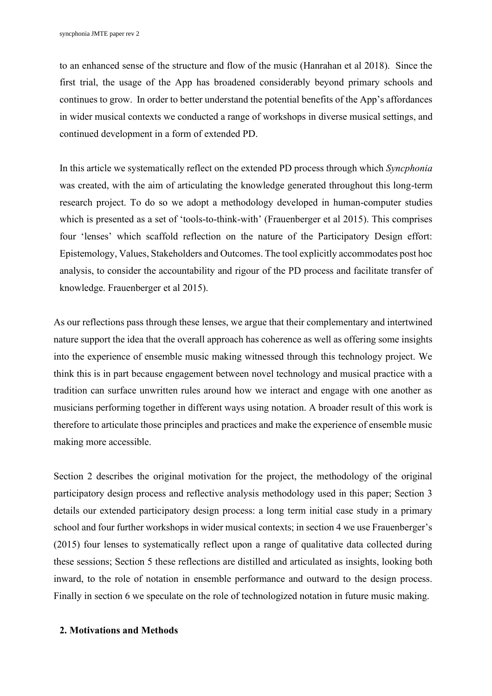to an enhanced sense of the structure and flow of the music (Hanrahan et al 2018). Since the first trial, the usage of the App has broadened considerably beyond primary schools and continues to grow. In order to better understand the potential benefits of the App's affordances in wider musical contexts we conducted a range of workshops in diverse musical settings, and continued development in a form of extended PD.

In this article we systematically reflect on the extended PD process through which *Syncphonia* was created, with the aim of articulating the knowledge generated throughout this long-term research project. To do so we adopt a methodology developed in human-computer studies which is presented as a set of 'tools-to-think-with' (Frauenberger et al 2015). This comprises four 'lenses' which scaffold reflection on the nature of the Participatory Design effort: Epistemology, Values, Stakeholders and Outcomes. The tool explicitly accommodates post hoc analysis, to consider the accountability and rigour of the PD process and facilitate transfer of knowledge. Frauenberger et al 2015).

As our reflections pass through these lenses, we argue that their complementary and intertwined nature support the idea that the overall approach has coherence as well as offering some insights into the experience of ensemble music making witnessed through this technology project. We think this is in part because engagement between novel technology and musical practice with a tradition can surface unwritten rules around how we interact and engage with one another as musicians performing together in different ways using notation. A broader result of this work is therefore to articulate those principles and practices and make the experience of ensemble music making more accessible.

Section 2 describes the original motivation for the project, the methodology of the original participatory design process and reflective analysis methodology used in this paper; Section 3 details our extended participatory design process: a long term initial case study in a primary school and four further workshops in wider musical contexts; in section 4 we use Frauenberger's (2015) four lenses to systematically reflect upon a range of qualitative data collected during these sessions; Section 5 these reflections are distilled and articulated as insights, looking both inward, to the role of notation in ensemble performance and outward to the design process. Finally in section 6 we speculate on the role of technologized notation in future music making.

# **2. Motivations and Methods**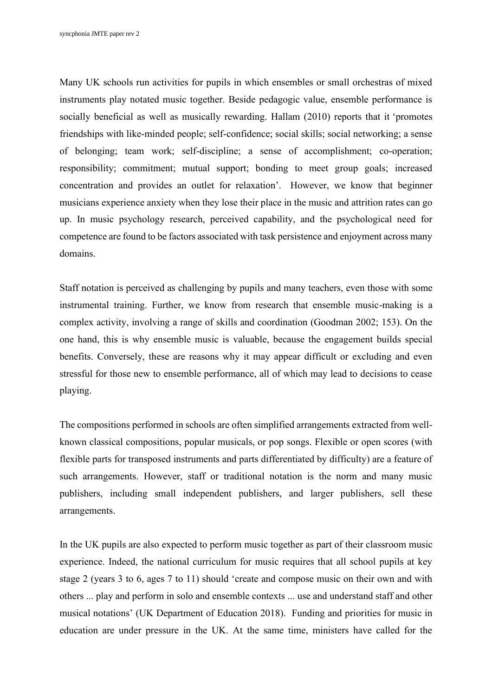Many UK schools run activities for pupils in which ensembles or small orchestras of mixed instruments play notated music together. Beside pedagogic value, ensemble performance is socially beneficial as well as musically rewarding. Hallam (2010) reports that it 'promotes friendships with like-minded people; self-confidence; social skills; social networking; a sense of belonging; team work; self-discipline; a sense of accomplishment; co-operation; responsibility; commitment; mutual support; bonding to meet group goals; increased concentration and provides an outlet for relaxation'. However, we know that beginner musicians experience anxiety when they lose their place in the music and attrition rates can go up. In music psychology research, perceived capability, and the psychological need for competence are found to be factors associated with task persistence and enjoyment across many domains.

Staff notation is perceived as challenging by pupils and many teachers, even those with some instrumental training. Further, we know from research that ensemble music-making is a complex activity, involving a range of skills and coordination (Goodman 2002; 153). On the one hand, this is why ensemble music is valuable, because the engagement builds special benefits. Conversely, these are reasons why it may appear difficult or excluding and even stressful for those new to ensemble performance, all of which may lead to decisions to cease playing.

The compositions performed in schools are often simplified arrangements extracted from wellknown classical compositions, popular musicals, or pop songs. Flexible or open scores (with flexible parts for transposed instruments and parts differentiated by difficulty) are a feature of such arrangements. However, staff or traditional notation is the norm and many music publishers, including small independent publishers, and larger publishers, sell these arrangements.

In the UK pupils are also expected to perform music together as part of their classroom music experience. Indeed, the national curriculum for music requires that all school pupils at key stage 2 (years 3 to 6, ages 7 to 11) should 'create and compose music on their own and with others ... play and perform in solo and ensemble contexts ... use and understand staff and other musical notations' (UK Department of Education 2018). Funding and priorities for music in education are under pressure in the UK. At the same time, ministers have called for the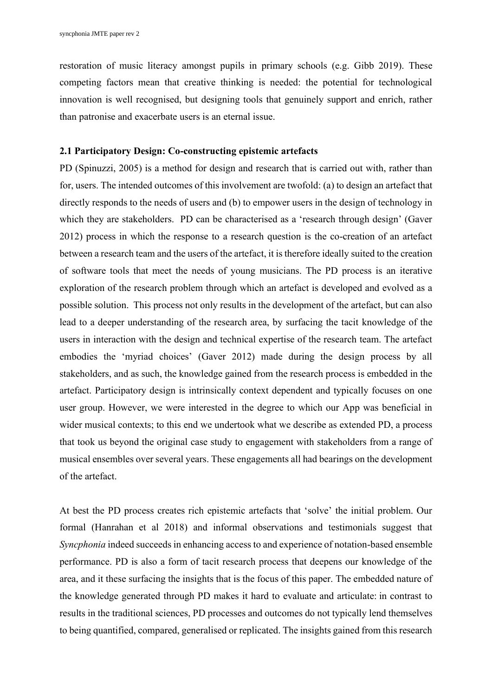restoration of music literacy amongst pupils in primary schools (e.g. Gibb 2019). These competing factors mean that creative thinking is needed: the potential for technological innovation is well recognised, but designing tools that genuinely support and enrich, rather than patronise and exacerbate users is an eternal issue.

#### **2.1 Participatory Design: Co-constructing epistemic artefacts**

PD (Spinuzzi, 2005) is a method for design and research that is carried out with, rather than for, users. The intended outcomes of this involvement are twofold: (a) to design an artefact that directly responds to the needs of users and (b) to empower users in the design of technology in which they are stakeholders. PD can be characterised as a 'research through design' (Gaver 2012) process in which the response to a research question is the co-creation of an artefact between a research team and the users of the artefact, it is therefore ideally suited to the creation of software tools that meet the needs of young musicians. The PD process is an iterative exploration of the research problem through which an artefact is developed and evolved as a possible solution. This process not only results in the development of the artefact, but can also lead to a deeper understanding of the research area, by surfacing the tacit knowledge of the users in interaction with the design and technical expertise of the research team. The artefact embodies the 'myriad choices' (Gaver 2012) made during the design process by all stakeholders, and as such, the knowledge gained from the research process is embedded in the artefact. Participatory design is intrinsically context dependent and typically focuses on one user group. However, we were interested in the degree to which our App was beneficial in wider musical contexts; to this end we undertook what we describe as extended PD, a process that took us beyond the original case study to engagement with stakeholders from a range of musical ensembles over several years. These engagements all had bearings on the development of the artefact.

At best the PD process creates rich epistemic artefacts that 'solve' the initial problem. Our formal (Hanrahan et al 2018) and informal observations and testimonials suggest that *Syncphonia* indeed succeeds in enhancing access to and experience of notation-based ensemble performance. PD is also a form of tacit research process that deepens our knowledge of the area, and it these surfacing the insights that is the focus of this paper. The embedded nature of the knowledge generated through PD makes it hard to evaluate and articulate: in contrast to results in the traditional sciences, PD processes and outcomes do not typically lend themselves to being quantified, compared, generalised or replicated. The insights gained from this research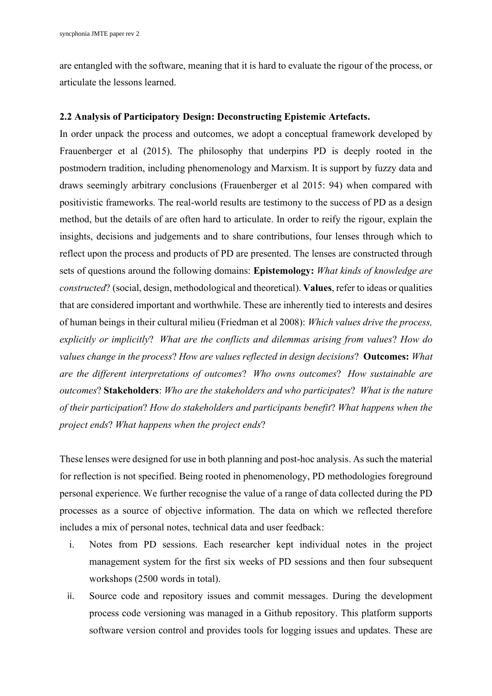are entangled with the software, meaning that it is hard to evaluate the rigour of the process, or articulate the lessons learned.

# **2.2 Analysis of Participatory Design: Deconstructing Epistemic Artefacts.**

In order unpack the process and outcomes, we adopt a conceptual framework developed by Frauenberger et al (2015). The philosophy that underpins PD is deeply rooted in the postmodern tradition, including phenomenology and Marxism. It is support by fuzzy data and draws seemingly arbitrary conclusions (Frauenberger et al 2015: 94) when compared with positivistic frameworks. The real-world results are testimony to the success of PD as a design method, but the details of are often hard to articulate. In order to reify the rigour, explain the insights, decisions and judgements and to share contributions, four lenses through which to reflect upon the process and products of PD are presented. The lenses are constructed through sets of questions around the following domains: **Epistemology:** *What kinds of knowledge are constructed*? (social, design, methodological and theoretical). **Values**, refer to ideas or qualities that are considered important and worthwhile. These are inherently tied to interests and desires of human beings in their cultural milieu (Friedman et al 2008): *Which values drive the process, explicitly or implicitly*? *What are the conflicts and dilemmas arising from values*? *How do values change in the process*? *How are values reflected in design decisions*? **Outcomes:** *What are the different interpretations of outcomes*? *Who owns outcomes*? *How sustainable are outcomes*? **Stakeholders**: *Who are the stakeholders and who participates*? *What is the nature of their participation*? *How do stakeholders and participants benefit*? *What happens when the project ends*? *What happens when the project ends*?

These lenses were designed for use in both planning and post-hoc analysis. As such the material for reflection is not specified. Being rooted in phenomenology, PD methodologies foreground personal experience. We further recognise the value of a range of data collected during the PD processes as a source of objective information. The data on which we reflected therefore includes a mix of personal notes, technical data and user feedback:

- i. Notes from PD sessions. Each researcher kept individual notes in the project management system for the first six weeks of PD sessions and then four subsequent workshops (2500 words in total).
- ii. Source code and repository issues and commit messages. During the development process code versioning was managed in a Github repository. This platform supports software version control and provides tools for logging issues and updates. These are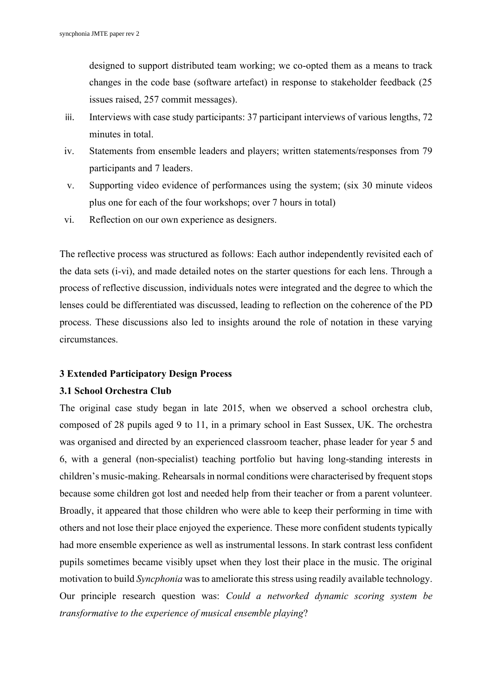designed to support distributed team working; we co-opted them as a means to track changes in the code base (software artefact) in response to stakeholder feedback (25 issues raised, 257 commit messages).

- iii. Interviews with case study participants: 37 participant interviews of various lengths, 72 minutes in total.
- iv. Statements from ensemble leaders and players; written statements/responses from 79 participants and 7 leaders.
- v. Supporting video evidence of performances using the system; (six 30 minute videos plus one for each of the four workshops; over 7 hours in total)
- vi. Reflection on our own experience as designers.

The reflective process was structured as follows: Each author independently revisited each of the data sets (i-vi), and made detailed notes on the starter questions for each lens. Through a process of reflective discussion, individuals notes were integrated and the degree to which the lenses could be differentiated was discussed, leading to reflection on the coherence of the PD process. These discussions also led to insights around the role of notation in these varying circumstances.

#### **3 Extended Participatory Design Process**

#### **3.1 School Orchestra Club**

The original case study began in late 2015, when we observed a school orchestra club, composed of 28 pupils aged 9 to 11, in a primary school in East Sussex, UK. The orchestra was organised and directed by an experienced classroom teacher, phase leader for year 5 and 6, with a general (non-specialist) teaching portfolio but having long-standing interests in children's music-making. Rehearsals in normal conditions were characterised by frequent stops because some children got lost and needed help from their teacher or from a parent volunteer. Broadly, it appeared that those children who were able to keep their performing in time with others and not lose their place enjoyed the experience. These more confident students typically had more ensemble experience as well as instrumental lessons. In stark contrast less confident pupils sometimes became visibly upset when they lost their place in the music. The original motivation to build *Syncphonia* was to ameliorate this stress using readily available technology. Our principle research question was: *Could a networked dynamic scoring system be transformative to the experience of musical ensemble playing*?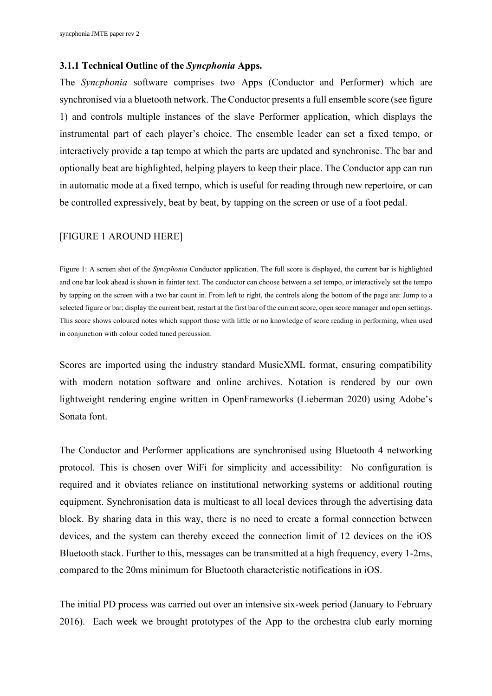#### **3.1.1 Technical Outline of the** *Syncphonia* **Apps.**

The *Syncphonia* software comprises two Apps (Conductor and Performer) which are synchronised via a bluetooth network. The Conductor presents a full ensemble score (see figure 1) and controls multiple instances of the slave Performer application, which displays the instrumental part of each player's choice. The ensemble leader can set a fixed tempo, or interactively provide a tap tempo at which the parts are updated and synchronise. The bar and optionally beat are highlighted, helping players to keep their place. The Conductor app can run in automatic mode at a fixed tempo, which is useful for reading through new repertoire, or can be controlled expressively, beat by beat, by tapping on the screen or use of a foot pedal.

#### [FIGURE 1 AROUND HERE]

Figure 1: A screen shot of the *Syncphonia* Conductor application. The full score is displayed, the current bar is highlighted and one bar look ahead is shown in fainter text. The conductor can choose between a set tempo, or interactively set the tempo by tapping on the screen with a two bar count in. From left to right, the controls along the bottom of the page are: Jump to a selected figure or bar; display the current beat, restart at the first bar of the current score, open score manager and open settings. This score shows coloured notes which support those with little or no knowledge of score reading in performing, when used in conjunction with colour coded tuned percussion.

Scores are imported using the industry standard MusicXML format, ensuring compatibility with modern notation software and online archives. Notation is rendered by our own lightweight rendering engine written in OpenFrameworks (Lieberman 2020) using Adobe's Sonata font.

The Conductor and Performer applications are synchronised using Bluetooth 4 networking protocol. This is chosen over WiFi for simplicity and accessibility: No configuration is required and it obviates reliance on institutional networking systems or additional routing equipment. Synchronisation data is multicast to all local devices through the advertising data block. By sharing data in this way, there is no need to create a formal connection between devices, and the system can thereby exceed the connection limit of 12 devices on the iOS Bluetooth stack. Further to this, messages can be transmitted at a high frequency, every 1-2ms, compared to the 20ms minimum for Bluetooth characteristic notifications in iOS.

The initial PD process was carried out over an intensive six-week period (January to February 2016). Each week we brought prototypes of the App to the orchestra club early morning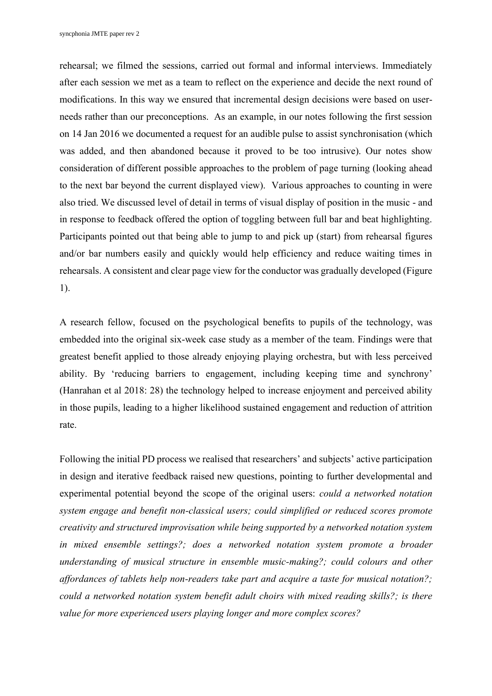rehearsal; we filmed the sessions, carried out formal and informal interviews. Immediately after each session we met as a team to reflect on the experience and decide the next round of modifications. In this way we ensured that incremental design decisions were based on userneeds rather than our preconceptions. As an example, in our notes following the first session on 14 Jan 2016 we documented a request for an audible pulse to assist synchronisation (which was added, and then abandoned because it proved to be too intrusive). Our notes show consideration of different possible approaches to the problem of page turning (looking ahead to the next bar beyond the current displayed view). Various approaches to counting in were also tried. We discussed level of detail in terms of visual display of position in the music - and in response to feedback offered the option of toggling between full bar and beat highlighting. Participants pointed out that being able to jump to and pick up (start) from rehearsal figures and/or bar numbers easily and quickly would help efficiency and reduce waiting times in rehearsals. A consistent and clear page view for the conductor was gradually developed (Figure 1).

A research fellow, focused on the psychological benefits to pupils of the technology, was embedded into the original six-week case study as a member of the team. Findings were that greatest benefit applied to those already enjoying playing orchestra, but with less perceived ability. By 'reducing barriers to engagement, including keeping time and synchrony' (Hanrahan et al 2018: 28) the technology helped to increase enjoyment and perceived ability in those pupils, leading to a higher likelihood sustained engagement and reduction of attrition rate.

Following the initial PD process we realised that researchers' and subjects' active participation in design and iterative feedback raised new questions, pointing to further developmental and experimental potential beyond the scope of the original users: *could a networked notation system engage and benefit non-classical users; could simplified or reduced scores promote creativity and structured improvisation while being supported by a networked notation system in mixed ensemble settings?; does a networked notation system promote a broader understanding of musical structure in ensemble music-making?; could colours and other affordances of tablets help non-readers take part and acquire a taste for musical notation?; could a networked notation system benefit adult choirs with mixed reading skills?; is there value for more experienced users playing longer and more complex scores?*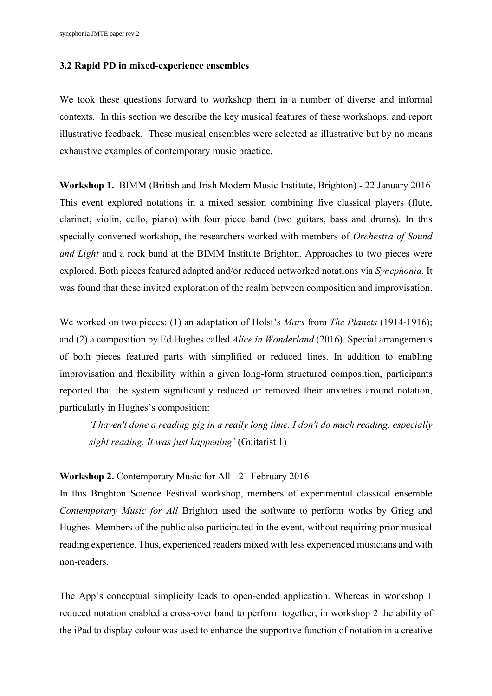#### **3.2 Rapid PD in mixed-experience ensembles**

We took these questions forward to workshop them in a number of diverse and informal contexts. In this section we describe the key musical features of these workshops, and report illustrative feedback. These musical ensembles were selected as illustrative but by no means exhaustive examples of contemporary music practice.

**Workshop 1.** BIMM (British and Irish Modern Music Institute, Brighton) - 22 January 2016 This event explored notations in a mixed session combining five classical players (flute, clarinet, violin, cello, piano) with four piece band (two guitars, bass and drums). In this specially convened workshop, the researchers worked with members of *Orchestra of Sound and Light* and a rock band at the BIMM Institute Brighton. Approaches to two pieces were explored. Both pieces featured adapted and/or reduced networked notations via *Syncphonia*. It was found that these invited exploration of the realm between composition and improvisation.

We worked on two pieces: (1) an adaptation of Holst's *Mars* from *The Planets* (1914-1916); and (2) a composition by Ed Hughes called *Alice in Wonderland* (2016). Special arrangements of both pieces featured parts with simplified or reduced lines. In addition to enabling improvisation and flexibility within a given long-form structured composition, participants reported that the system significantly reduced or removed their anxieties around notation, particularly in Hughes's composition:

*'I haven't done a reading gig in a really long time. I don't do much reading, especially sight reading. It was just happening'* (Guitarist 1)

# **Workshop 2.** Contemporary Music for All - 21 February 2016

In this Brighton Science Festival workshop, members of experimental classical ensemble *Contemporary Music for All* Brighton used the software to perform works by Grieg and Hughes. Members of the public also participated in the event, without requiring prior musical reading experience. Thus, experienced readers mixed with less experienced musicians and with non-readers.

The App's conceptual simplicity leads to open-ended application. Whereas in workshop 1 reduced notation enabled a cross-over band to perform together, in workshop 2 the ability of the iPad to display colour was used to enhance the supportive function of notation in a creative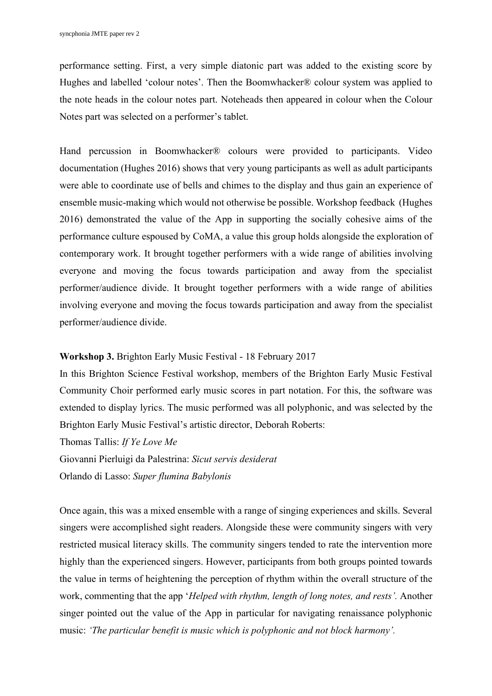performance setting. First, a very simple diatonic part was added to the existing score by Hughes and labelled 'colour notes'. Then the Boomwhacker® colour system was applied to the note heads in the colour notes part. Noteheads then appeared in colour when the Colour Notes part was selected on a performer's tablet.

Hand percussion in Boomwhacker® colours were provided to participants. Video documentation (Hughes 2016) shows that very young participants as well as adult participants were able to coordinate use of bells and chimes to the display and thus gain an experience of ensemble music-making which would not otherwise be possible. Workshop feedback (Hughes 2016) demonstrated the value of the App in supporting the socially cohesive aims of the performance culture espoused by CoMA, a value this group holds alongside the exploration of contemporary work. It brought together performers with a wide range of abilities involving everyone and moving the focus towards participation and away from the specialist performer/audience divide. It brought together performers with a wide range of abilities involving everyone and moving the focus towards participation and away from the specialist performer/audience divide.

#### **Workshop 3.** Brighton Early Music Festival - 18 February 2017

In this Brighton Science Festival workshop, members of the Brighton Early Music Festival Community Choir performed early music scores in part notation. For this, the software was extended to display lyrics. The music performed was all polyphonic, and was selected by the Brighton Early Music Festival's artistic director, Deborah Roberts:

Thomas Tallis: *If Ye Love Me*

Giovanni Pierluigi da Palestrina: *Sicut servis desiderat*

Orlando di Lasso: *Super flumina Babylonis*

Once again, this was a mixed ensemble with a range of singing experiences and skills. Several singers were accomplished sight readers. Alongside these were community singers with very restricted musical literacy skills. The community singers tended to rate the intervention more highly than the experienced singers. However, participants from both groups pointed towards the value in terms of heightening the perception of rhythm within the overall structure of the work, commenting that the app '*Helped with rhythm, length of long notes, and rests'.* Another singer pointed out the value of the App in particular for navigating renaissance polyphonic music: *'The particular benefit is music which is polyphonic and not block harmony'.*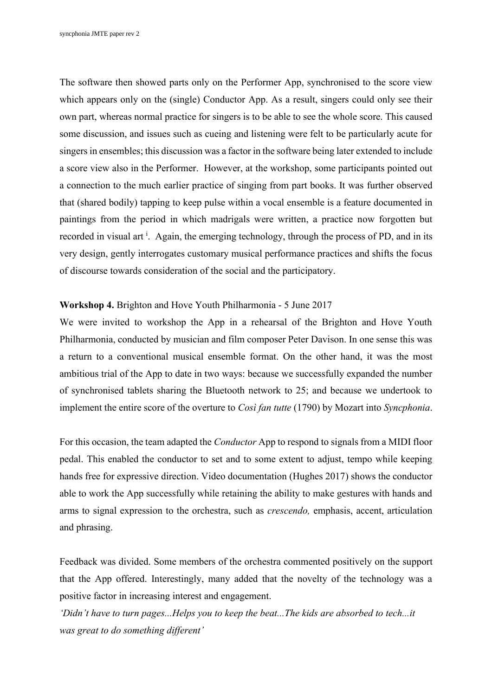The software then showed parts only on the Performer App, synchronised to the score view which appears only on the (single) Conductor App. As a result, singers could only see their own part, whereas normal practice for singers is to be able to see the whole score. This caused some discussion, and issues such as cueing and listening were felt to be particularly acute for singers in ensembles; this discussion was a factor in the software being later extended to include a score view also in the Performer. However, at the workshop, some participants pointed out a connection to the much earlier practice of singing from part books. It was further observed that (shared bodily) tapping to keep pulse within a vocal ensemble is a feature documented in paintings from the period in which madrigals were written, a practice now forgotten but recorded in visual art <sup>i</sup>. Again, the emerging technology, through the process of PD, and in its very design, gently interrogates customary musical performance practices and shifts the focus of discourse towards consideration of the social and the participatory.

#### **Workshop 4.** Brighton and Hove Youth Philharmonia - 5 June 2017

We were invited to workshop the App in a rehearsal of the Brighton and Hove Youth Philharmonia, conducted by musician and film composer Peter Davison. In one sense this was a return to a conventional musical ensemble format. On the other hand, it was the most ambitious trial of the App to date in two ways: because we successfully expanded the number of synchronised tablets sharing the Bluetooth network to 25; and because we undertook to implement the entire score of the overture to *Così fan tutte* (1790) by Mozart into *Syncphonia*.

For this occasion, the team adapted the *Conductor* App to respond to signals from a MIDI floor pedal. This enabled the conductor to set and to some extent to adjust, tempo while keeping hands free for expressive direction. Video documentation (Hughes 2017) shows the conductor able to work the App successfully while retaining the ability to make gestures with hands and arms to signal expression to the orchestra, such as *crescendo,* emphasis, accent, articulation and phrasing.

Feedback was divided. Some members of the orchestra commented positively on the support that the App offered. Interestingly, many added that the novelty of the technology was a positive factor in increasing interest and engagement.

*'Didn't have to turn pages...Helps you to keep the beat...The kids are absorbed to tech...it was great to do something different'*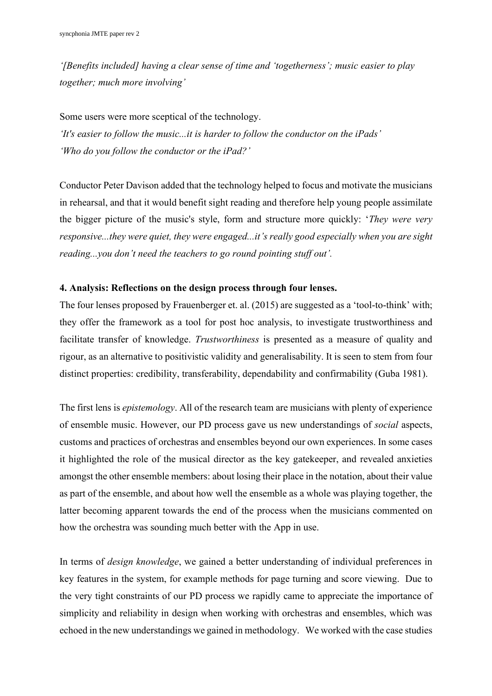*'[Benefits included] having a clear sense of time and 'togetherness'; music easier to play together; much more involving'*

Some users were more sceptical of the technology. *'It's easier to follow the music...it is harder to follow the conductor on the iPads' 'Who do you follow the conductor or the iPad?'*

Conductor Peter Davison added that the technology helped to focus and motivate the musicians in rehearsal, and that it would benefit sight reading and therefore help young people assimilate the bigger picture of the music's style, form and structure more quickly: '*They were very responsive...they were quiet, they were engaged...it's really good especially when you are sight reading...you don't need the teachers to go round pointing stuff out'.*

# **4. Analysis: Reflections on the design process through four lenses.**

The four lenses proposed by Frauenberger et. al. (2015) are suggested as a 'tool-to-think' with; they offer the framework as a tool for post hoc analysis, to investigate trustworthiness and facilitate transfer of knowledge. *Trustworthiness* is presented as a measure of quality and rigour, as an alternative to positivistic validity and generalisability. It is seen to stem from four distinct properties: credibility, transferability, dependability and confirmability (Guba 1981).

The first lens is *epistemology*. All of the research team are musicians with plenty of experience of ensemble music. However, our PD process gave us new understandings of *social* aspects, customs and practices of orchestras and ensembles beyond our own experiences. In some cases it highlighted the role of the musical director as the key gatekeeper, and revealed anxieties amongst the other ensemble members: about losing their place in the notation, about their value as part of the ensemble, and about how well the ensemble as a whole was playing together, the latter becoming apparent towards the end of the process when the musicians commented on how the orchestra was sounding much better with the App in use.

In terms of *design knowledge*, we gained a better understanding of individual preferences in key features in the system, for example methods for page turning and score viewing. Due to the very tight constraints of our PD process we rapidly came to appreciate the importance of simplicity and reliability in design when working with orchestras and ensembles, which was echoed in the new understandings we gained in methodology. We worked with the case studies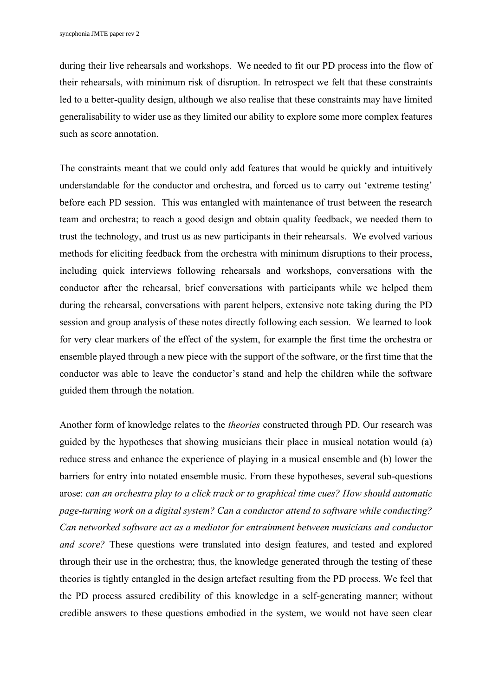during their live rehearsals and workshops. We needed to fit our PD process into the flow of their rehearsals, with minimum risk of disruption. In retrospect we felt that these constraints led to a better-quality design, although we also realise that these constraints may have limited generalisability to wider use as they limited our ability to explore some more complex features such as score annotation.

The constraints meant that we could only add features that would be quickly and intuitively understandable for the conductor and orchestra, and forced us to carry out 'extreme testing' before each PD session. This was entangled with maintenance of trust between the research team and orchestra; to reach a good design and obtain quality feedback, we needed them to trust the technology, and trust us as new participants in their rehearsals. We evolved various methods for eliciting feedback from the orchestra with minimum disruptions to their process, including quick interviews following rehearsals and workshops, conversations with the conductor after the rehearsal, brief conversations with participants while we helped them during the rehearsal, conversations with parent helpers, extensive note taking during the PD session and group analysis of these notes directly following each session. We learned to look for very clear markers of the effect of the system, for example the first time the orchestra or ensemble played through a new piece with the support of the software, or the first time that the conductor was able to leave the conductor's stand and help the children while the software guided them through the notation.

Another form of knowledge relates to the *theories* constructed through PD. Our research was guided by the hypotheses that showing musicians their place in musical notation would (a) reduce stress and enhance the experience of playing in a musical ensemble and (b) lower the barriers for entry into notated ensemble music. From these hypotheses, several sub-questions arose: *can an orchestra play to a click track or to graphical time cues? How should automatic page-turning work on a digital system? Can a conductor attend to software while conducting? Can networked software act as a mediator for entrainment between musicians and conductor and score?* These questions were translated into design features, and tested and explored through their use in the orchestra; thus, the knowledge generated through the testing of these theories is tightly entangled in the design artefact resulting from the PD process. We feel that the PD process assured credibility of this knowledge in a self-generating manner; without credible answers to these questions embodied in the system, we would not have seen clear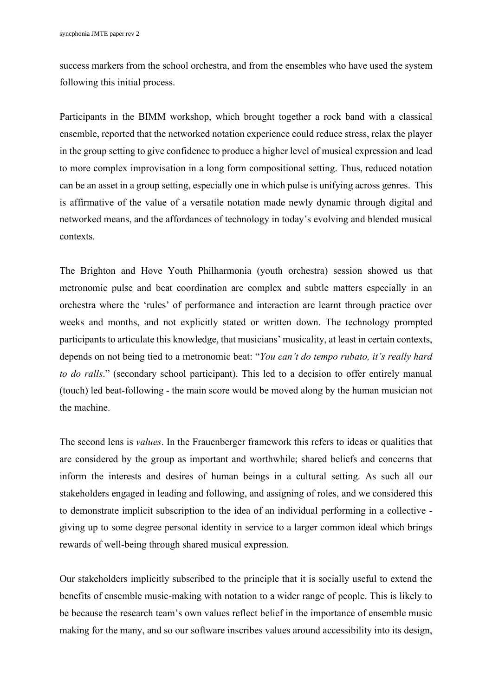success markers from the school orchestra, and from the ensembles who have used the system following this initial process.

Participants in the BIMM workshop, which brought together a rock band with a classical ensemble, reported that the networked notation experience could reduce stress, relax the player in the group setting to give confidence to produce a higher level of musical expression and lead to more complex improvisation in a long form compositional setting. Thus, reduced notation can be an asset in a group setting, especially one in which pulse is unifying across genres. This is affirmative of the value of a versatile notation made newly dynamic through digital and networked means, and the affordances of technology in today's evolving and blended musical contexts.

The Brighton and Hove Youth Philharmonia (youth orchestra) session showed us that metronomic pulse and beat coordination are complex and subtle matters especially in an orchestra where the 'rules' of performance and interaction are learnt through practice over weeks and months, and not explicitly stated or written down. The technology prompted participants to articulate this knowledge, that musicians' musicality, at least in certain contexts, depends on not being tied to a metronomic beat: "*You can't do tempo rubato, it's really hard to do ralls*." (secondary school participant). This led to a decision to offer entirely manual (touch) led beat-following - the main score would be moved along by the human musician not the machine.

The second lens is *values*. In the Frauenberger framework this refers to ideas or qualities that are considered by the group as important and worthwhile; shared beliefs and concerns that inform the interests and desires of human beings in a cultural setting. As such all our stakeholders engaged in leading and following, and assigning of roles, and we considered this to demonstrate implicit subscription to the idea of an individual performing in a collective giving up to some degree personal identity in service to a larger common ideal which brings rewards of well-being through shared musical expression.

Our stakeholders implicitly subscribed to the principle that it is socially useful to extend the benefits of ensemble music-making with notation to a wider range of people. This is likely to be because the research team's own values reflect belief in the importance of ensemble music making for the many, and so our software inscribes values around accessibility into its design,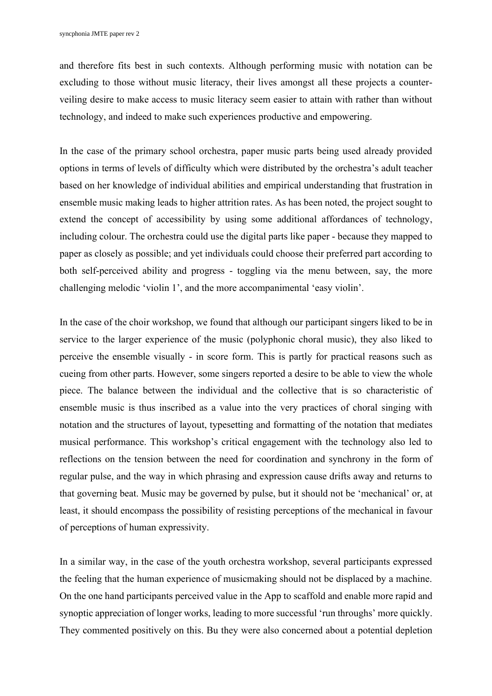and therefore fits best in such contexts. Although performing music with notation can be excluding to those without music literacy, their lives amongst all these projects a counterveiling desire to make access to music literacy seem easier to attain with rather than without technology, and indeed to make such experiences productive and empowering.

In the case of the primary school orchestra, paper music parts being used already provided options in terms of levels of difficulty which were distributed by the orchestra's adult teacher based on her knowledge of individual abilities and empirical understanding that frustration in ensemble music making leads to higher attrition rates. As has been noted, the project sought to extend the concept of accessibility by using some additional affordances of technology, including colour. The orchestra could use the digital parts like paper - because they mapped to paper as closely as possible; and yet individuals could choose their preferred part according to both self-perceived ability and progress - toggling via the menu between, say, the more challenging melodic 'violin 1', and the more accompanimental 'easy violin'.

In the case of the choir workshop, we found that although our participant singers liked to be in service to the larger experience of the music (polyphonic choral music), they also liked to perceive the ensemble visually - in score form. This is partly for practical reasons such as cueing from other parts. However, some singers reported a desire to be able to view the whole piece. The balance between the individual and the collective that is so characteristic of ensemble music is thus inscribed as a value into the very practices of choral singing with notation and the structures of layout, typesetting and formatting of the notation that mediates musical performance. This workshop's critical engagement with the technology also led to reflections on the tension between the need for coordination and synchrony in the form of regular pulse, and the way in which phrasing and expression cause drifts away and returns to that governing beat. Music may be governed by pulse, but it should not be 'mechanical' or, at least, it should encompass the possibility of resisting perceptions of the mechanical in favour of perceptions of human expressivity.

In a similar way, in the case of the youth orchestra workshop, several participants expressed the feeling that the human experience of musicmaking should not be displaced by a machine. On the one hand participants perceived value in the App to scaffold and enable more rapid and synoptic appreciation of longer works, leading to more successful 'run throughs' more quickly. They commented positively on this. Bu they were also concerned about a potential depletion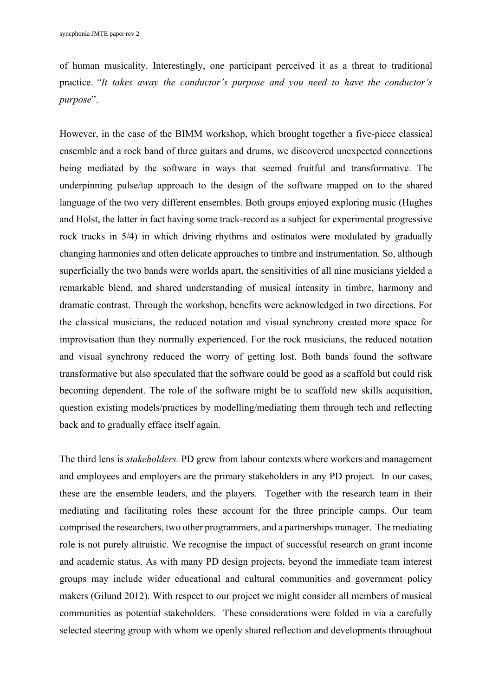of human musicality. Interestingly, one participant perceived it as a threat to traditional practice. *"It takes away the conductor's purpose and you need to have the conductor's purpose*".

However, in the case of the BIMM workshop, which brought together a five-piece classical ensemble and a rock band of three guitars and drums, we discovered unexpected connections being mediated by the software in ways that seemed fruitful and transformative. The underpinning pulse/tap approach to the design of the software mapped on to the shared language of the two very different ensembles. Both groups enjoyed exploring music (Hughes and Holst, the latter in fact having some track-record as a subject for experimental progressive rock tracks in 5/4) in which driving rhythms and ostinatos were modulated by gradually changing harmonies and often delicate approaches to timbre and instrumentation. So, although superficially the two bands were worlds apart, the sensitivities of all nine musicians yielded a remarkable blend, and shared understanding of musical intensity in timbre, harmony and dramatic contrast. Through the workshop, benefits were acknowledged in two directions. For the classical musicians, the reduced notation and visual synchrony created more space for improvisation than they normally experienced. For the rock musicians, the reduced notation and visual synchrony reduced the worry of getting lost. Both bands found the software transformative but also speculated that the software could be good as a scaffold but could risk becoming dependent. The role of the software might be to scaffold new skills acquisition, question existing models/practices by modelling/mediating them through tech and reflecting back and to gradually efface itself again.

The third lens is *stakeholders.* PD grew from labour contexts where workers and management and employees and employers are the primary stakeholders in any PD project. In our cases, these are the ensemble leaders, and the players. Together with the research team in their mediating and facilitating roles these account for the three principle camps. Our team comprised the researchers, two other programmers, and a partnerships manager. The mediating role is not purely altruistic. We recognise the impact of successful research on grant income and academic status. As with many PD design projects, beyond the immediate team interest groups may include wider educational and cultural communities and government policy makers (Gilund 2012). With respect to our project we might consider all members of musical communities as potential stakeholders. These considerations were folded in via a carefully selected steering group with whom we openly shared reflection and developments throughout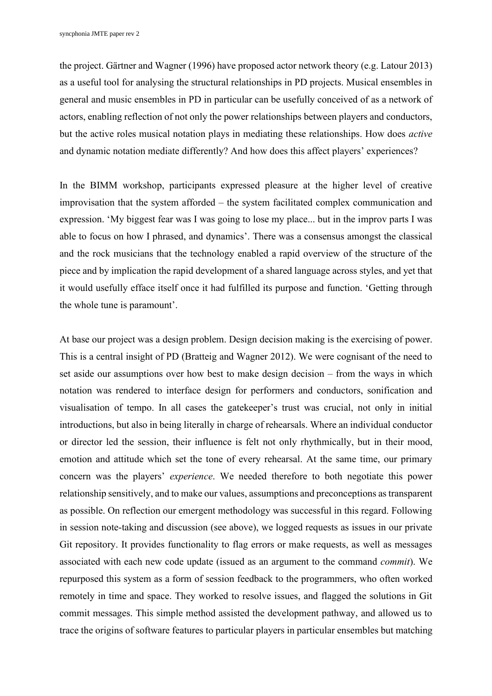the project. Gärtner and Wagner (1996) have proposed actor network theory (e.g. Latour 2013) as a useful tool for analysing the structural relationships in PD projects. Musical ensembles in general and music ensembles in PD in particular can be usefully conceived of as a network of actors, enabling reflection of not only the power relationships between players and conductors, but the active roles musical notation plays in mediating these relationships. How does *active* and dynamic notation mediate differently? And how does this affect players' experiences?

In the BIMM workshop, participants expressed pleasure at the higher level of creative improvisation that the system afforded – the system facilitated complex communication and expression. 'My biggest fear was I was going to lose my place... but in the improv parts I was able to focus on how I phrased, and dynamics'. There was a consensus amongst the classical and the rock musicians that the technology enabled a rapid overview of the structure of the piece and by implication the rapid development of a shared language across styles, and yet that it would usefully efface itself once it had fulfilled its purpose and function. 'Getting through the whole tune is paramount'.

At base our project was a design problem. Design decision making is the exercising of power. This is a central insight of PD (Bratteig and Wagner 2012). We were cognisant of the need to set aside our assumptions over how best to make design decision – from the ways in which notation was rendered to interface design for performers and conductors, sonification and visualisation of tempo. In all cases the gatekeeper's trust was crucial, not only in initial introductions, but also in being literally in charge of rehearsals. Where an individual conductor or director led the session, their influence is felt not only rhythmically, but in their mood, emotion and attitude which set the tone of every rehearsal. At the same time, our primary concern was the players' *experience*. We needed therefore to both negotiate this power relationship sensitively, and to make our values, assumptions and preconceptions as transparent as possible. On reflection our emergent methodology was successful in this regard. Following in session note-taking and discussion (see above), we logged requests as issues in our private Git repository. It provides functionality to flag errors or make requests, as well as messages associated with each new code update (issued as an argument to the command *commit*). We repurposed this system as a form of session feedback to the programmers, who often worked remotely in time and space. They worked to resolve issues, and flagged the solutions in Git commit messages. This simple method assisted the development pathway, and allowed us to trace the origins of software features to particular players in particular ensembles but matching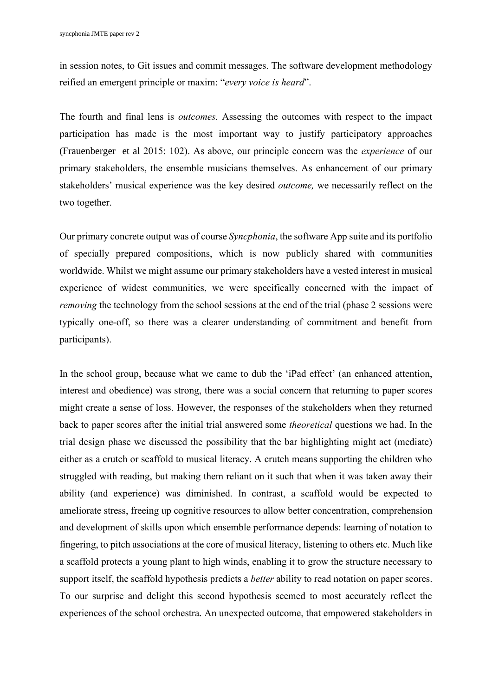in session notes, to Git issues and commit messages. The software development methodology reified an emergent principle or maxim: "*every voice is heard*".

The fourth and final lens is *outcomes.* Assessing the outcomes with respect to the impact participation has made is the most important way to justify participatory approaches (Frauenberger et al 2015: 102). As above, our principle concern was the *experience* of our primary stakeholders, the ensemble musicians themselves. As enhancement of our primary stakeholders' musical experience was the key desired *outcome,* we necessarily reflect on the two together.

Our primary concrete output was of course *Syncphonia*, the software App suite and its portfolio of specially prepared compositions, which is now publicly shared with communities worldwide. Whilst we might assume our primary stakeholders have a vested interest in musical experience of widest communities, we were specifically concerned with the impact of *removing* the technology from the school sessions at the end of the trial (phase 2 sessions were typically one-off, so there was a clearer understanding of commitment and benefit from participants).

In the school group, because what we came to dub the 'iPad effect' (an enhanced attention, interest and obedience) was strong, there was a social concern that returning to paper scores might create a sense of loss. However, the responses of the stakeholders when they returned back to paper scores after the initial trial answered some *theoretical* questions we had. In the trial design phase we discussed the possibility that the bar highlighting might act (mediate) either as a crutch or scaffold to musical literacy. A crutch means supporting the children who struggled with reading, but making them reliant on it such that when it was taken away their ability (and experience) was diminished. In contrast, a scaffold would be expected to ameliorate stress, freeing up cognitive resources to allow better concentration, comprehension and development of skills upon which ensemble performance depends: learning of notation to fingering, to pitch associations at the core of musical literacy, listening to others etc. Much like a scaffold protects a young plant to high winds, enabling it to grow the structure necessary to support itself, the scaffold hypothesis predicts a *better* ability to read notation on paper scores. To our surprise and delight this second hypothesis seemed to most accurately reflect the experiences of the school orchestra. An unexpected outcome, that empowered stakeholders in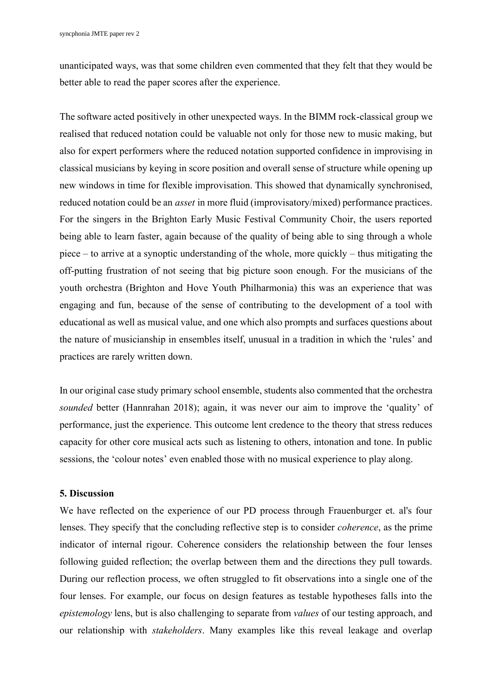unanticipated ways, was that some children even commented that they felt that they would be better able to read the paper scores after the experience.

The software acted positively in other unexpected ways. In the BIMM rock-classical group we realised that reduced notation could be valuable not only for those new to music making, but also for expert performers where the reduced notation supported confidence in improvising in classical musicians by keying in score position and overall sense of structure while opening up new windows in time for flexible improvisation. This showed that dynamically synchronised, reduced notation could be an *asset* in more fluid (improvisatory/mixed) performance practices. For the singers in the Brighton Early Music Festival Community Choir, the users reported being able to learn faster, again because of the quality of being able to sing through a whole piece – to arrive at a synoptic understanding of the whole, more quickly – thus mitigating the off-putting frustration of not seeing that big picture soon enough. For the musicians of the youth orchestra (Brighton and Hove Youth Philharmonia) this was an experience that was engaging and fun, because of the sense of contributing to the development of a tool with educational as well as musical value, and one which also prompts and surfaces questions about the nature of musicianship in ensembles itself, unusual in a tradition in which the 'rules' and practices are rarely written down.

In our original case study primary school ensemble, students also commented that the orchestra *sounded* better (Hannrahan 2018); again, it was never our aim to improve the 'quality' of performance, just the experience. This outcome lent credence to the theory that stress reduces capacity for other core musical acts such as listening to others, intonation and tone. In public sessions, the 'colour notes' even enabled those with no musical experience to play along.

# **5. Discussion**

We have reflected on the experience of our PD process through Frauenburger et. al's four lenses. They specify that the concluding reflective step is to consider *coherence*, as the prime indicator of internal rigour. Coherence considers the relationship between the four lenses following guided reflection; the overlap between them and the directions they pull towards. During our reflection process, we often struggled to fit observations into a single one of the four lenses. For example, our focus on design features as testable hypotheses falls into the *epistemology* lens, but is also challenging to separate from *values* of our testing approach, and our relationship with *stakeholders*. Many examples like this reveal leakage and overlap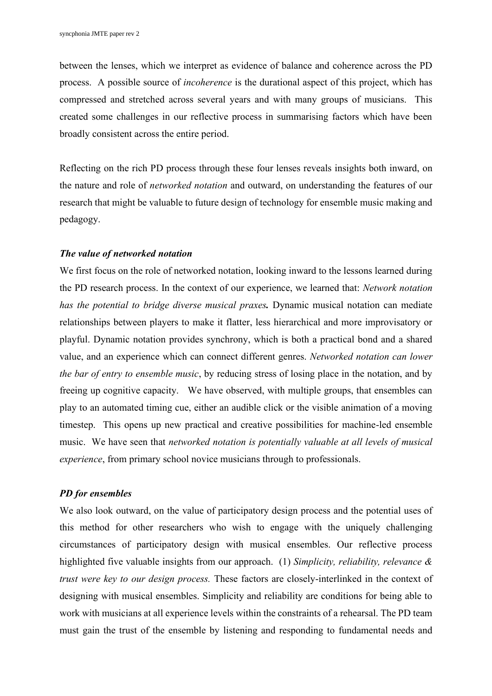between the lenses, which we interpret as evidence of balance and coherence across the PD process. A possible source of *incoherence* is the durational aspect of this project, which has compressed and stretched across several years and with many groups of musicians. This created some challenges in our reflective process in summarising factors which have been broadly consistent across the entire period.

Reflecting on the rich PD process through these four lenses reveals insights both inward, on the nature and role of *networked notation* and outward, on understanding the features of our research that might be valuable to future design of technology for ensemble music making and pedagogy.

#### *The value of networked notation*

We first focus on the role of networked notation, looking inward to the lessons learned during the PD research process. In the context of our experience, we learned that: *Network notation has the potential to bridge diverse musical praxes.* Dynamic musical notation can mediate relationships between players to make it flatter, less hierarchical and more improvisatory or playful. Dynamic notation provides synchrony, which is both a practical bond and a shared value, and an experience which can connect different genres. *Networked notation can lower the bar of entry to ensemble music*, by reducing stress of losing place in the notation, and by freeing up cognitive capacity. We have observed, with multiple groups, that ensembles can play to an automated timing cue, either an audible click or the visible animation of a moving timestep. This opens up new practical and creative possibilities for machine-led ensemble music. We have seen that *networked notation is potentially valuable at all levels of musical experience*, from primary school novice musicians through to professionals.

# *PD for ensembles*

We also look outward, on the value of participatory design process and the potential uses of this method for other researchers who wish to engage with the uniquely challenging circumstances of participatory design with musical ensembles. Our reflective process highlighted five valuable insights from our approach. (1) *Simplicity, reliability, relevance & trust were key to our design process.* These factors are closely-interlinked in the context of designing with musical ensembles. Simplicity and reliability are conditions for being able to work with musicians at all experience levels within the constraints of a rehearsal. The PD team must gain the trust of the ensemble by listening and responding to fundamental needs and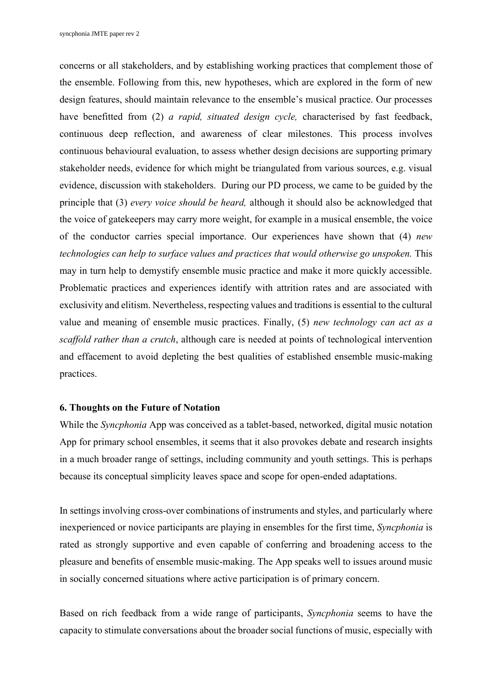concerns or all stakeholders, and by establishing working practices that complement those of the ensemble. Following from this, new hypotheses, which are explored in the form of new design features, should maintain relevance to the ensemble's musical practice. Our processes have benefitted from (2) *a rapid, situated design cycle,* characterised by fast feedback, continuous deep reflection, and awareness of clear milestones. This process involves continuous behavioural evaluation, to assess whether design decisions are supporting primary stakeholder needs, evidence for which might be triangulated from various sources, e.g. visual evidence, discussion with stakeholders. During our PD process, we came to be guided by the principle that (3) *every voice should be heard,* although it should also be acknowledged that the voice of gatekeepers may carry more weight, for example in a musical ensemble, the voice of the conductor carries special importance. Our experiences have shown that (4) *new technologies can help to surface values and practices that would otherwise go unspoken. This* may in turn help to demystify ensemble music practice and make it more quickly accessible. Problematic practices and experiences identify with attrition rates and are associated with exclusivity and elitism. Nevertheless, respecting values and traditions is essential to the cultural value and meaning of ensemble music practices. Finally, (5) *new technology can act as a scaffold rather than a crutch*, although care is needed at points of technological intervention and effacement to avoid depleting the best qualities of established ensemble music-making practices.

#### **6. Thoughts on the Future of Notation**

While the *Syncphonia* App was conceived as a tablet-based, networked, digital music notation App for primary school ensembles, it seems that it also provokes debate and research insights in a much broader range of settings, including community and youth settings. This is perhaps because its conceptual simplicity leaves space and scope for open-ended adaptations.

In settings involving cross-over combinations of instruments and styles, and particularly where inexperienced or novice participants are playing in ensembles for the first time, *Syncphonia* is rated as strongly supportive and even capable of conferring and broadening access to the pleasure and benefits of ensemble music-making. The App speaks well to issues around music in socially concerned situations where active participation is of primary concern.

Based on rich feedback from a wide range of participants, *Syncphonia* seems to have the capacity to stimulate conversations about the broader social functions of music, especially with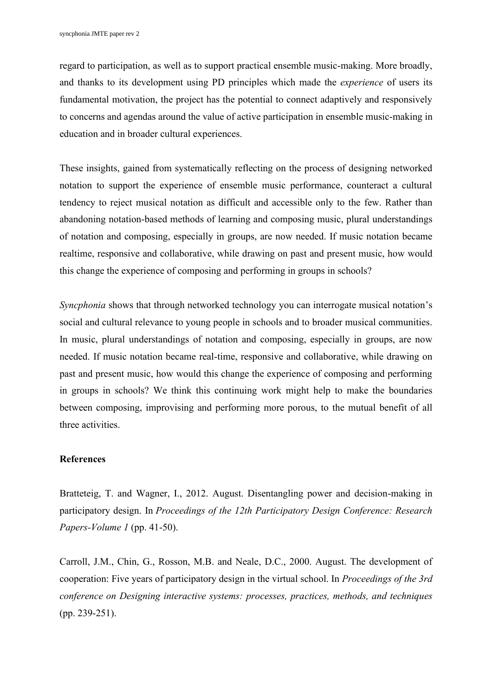regard to participation, as well as to support practical ensemble music-making. More broadly, and thanks to its development using PD principles which made the *experience* of users its fundamental motivation, the project has the potential to connect adaptively and responsively to concerns and agendas around the value of active participation in ensemble music-making in education and in broader cultural experiences.

These insights, gained from systematically reflecting on the process of designing networked notation to support the experience of ensemble music performance, counteract a cultural tendency to reject musical notation as difficult and accessible only to the few. Rather than abandoning notation-based methods of learning and composing music, plural understandings of notation and composing, especially in groups, are now needed. If music notation became realtime, responsive and collaborative, while drawing on past and present music, how would this change the experience of composing and performing in groups in schools?

*Syncphonia* shows that through networked technology you can interrogate musical notation's social and cultural relevance to young people in schools and to broader musical communities. In music, plural understandings of notation and composing, especially in groups, are now needed. If music notation became real-time, responsive and collaborative, while drawing on past and present music, how would this change the experience of composing and performing in groups in schools? We think this continuing work might help to make the boundaries between composing, improvising and performing more porous, to the mutual benefit of all three activities.

#### **References**

Bratteteig, T. and Wagner, I., 2012. August. Disentangling power and decision-making in participatory design. In *Proceedings of the 12th Participatory Design Conference: Research Papers-Volume 1* (pp. 41-50).

Carroll, J.M., Chin, G., Rosson, M.B. and Neale, D.C., 2000. August. The development of cooperation: Five years of participatory design in the virtual school. In *Proceedings of the 3rd conference on Designing interactive systems: processes, practices, methods, and techniques* (pp. 239-251).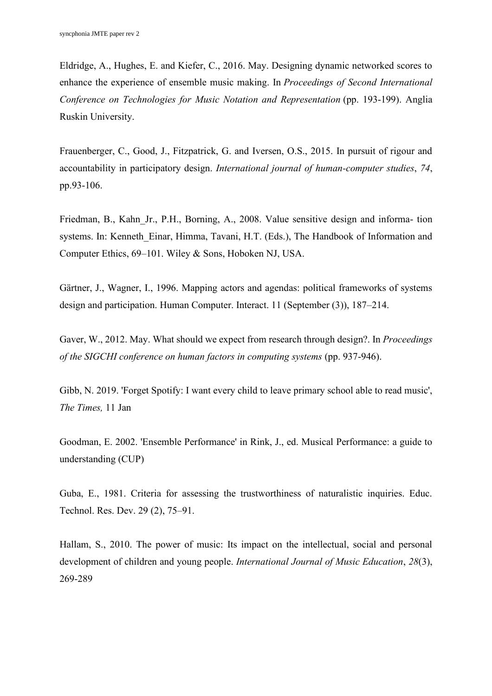Eldridge, A., Hughes, E. and Kiefer, C., 2016. May. Designing dynamic networked scores to enhance the experience of ensemble music making. In *Proceedings of Second International Conference on Technologies for Music Notation and Representation* (pp. 193-199). Anglia Ruskin University.

Frauenberger, C., Good, J., Fitzpatrick, G. and Iversen, O.S., 2015. In pursuit of rigour and accountability in participatory design. *International journal of human-computer studies*, *74*, pp.93-106.

Friedman, B., Kahn\_Jr., P.H., Borning, A., 2008. Value sensitive design and informa- tion systems. In: Kenneth Einar, Himma, Tavani, H.T. (Eds.), The Handbook of Information and Computer Ethics, 69–101. Wiley & Sons, Hoboken NJ, USA.

Gärtner, J., Wagner, I., 1996. Mapping actors and agendas: political frameworks of systems design and participation. Human Computer. Interact. 11 (September (3)), 187–214.

Gaver, W., 2012. May. What should we expect from research through design?. In *Proceedings of the SIGCHI conference on human factors in computing systems* (pp. 937-946).

Gibb, N. 2019. 'Forget Spotify: I want every child to leave primary school able to read music', *The Times,* 11 Jan

Goodman, E. 2002. 'Ensemble Performance' in Rink, J., ed. Musical Performance: a guide to understanding (CUP)

Guba, E., 1981. Criteria for assessing the trustworthiness of naturalistic inquiries. Educ. Technol. Res. Dev. 29 (2), 75–91.

Hallam, S., 2010. The power of music: Its impact on the intellectual, social and personal development of children and young people. *International Journal of Music Education*, *28*(3), 269-289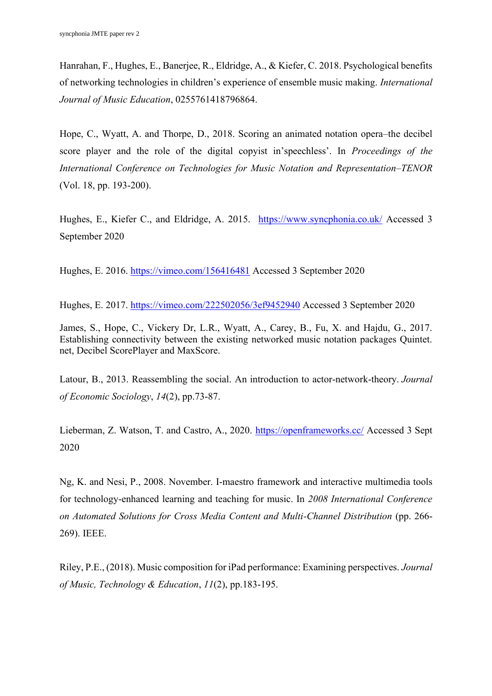Hanrahan, F., Hughes, E., Banerjee, R., Eldridge, A., & Kiefer, C. 2018. Psychological benefits of networking technologies in children's experience of ensemble music making. *International Journal of Music Education*, 0255761418796864.

Hope, C., Wyatt, A. and Thorpe, D., 2018. Scoring an animated notation opera–the decibel score player and the role of the digital copyist in'speechless'. In *Proceedings of the International Conference on Technologies for Music Notation and Representation–TENOR* (Vol. 18, pp. 193-200).

Hughes, E., Kiefer C., and Eldridge, A. 2015. <https://www.syncphonia.co.uk/> Accessed 3 September 2020

Hughes, E. 2016.<https://vimeo.com/156416481> Accessed 3 September 2020

Hughes, E. 2017.<https://vimeo.com/222502056/3ef9452940> Accessed 3 September 2020

James, S., Hope, C., Vickery Dr, L.R., Wyatt, A., Carey, B., Fu, X. and Hajdu, G., 2017. Establishing connectivity between the existing networked music notation packages Quintet. net, Decibel ScorePlayer and MaxScore.

Latour, B., 2013. Reassembling the social. An introduction to actor-network-theory. *Journal of Economic Sociology*, *14*(2), pp.73-87.

Lieberman, Z. Watson, T. and Castro, A., 2020.<https://openframeworks.cc/> Accessed 3 Sept 2020

Ng, K. and Nesi, P., 2008. November. I-maestro framework and interactive multimedia tools for technology-enhanced learning and teaching for music. In *2008 International Conference on Automated Solutions for Cross Media Content and Multi-Channel Distribution* (pp. 266- 269). IEEE.

Riley, P.E., (2018). Music composition for iPad performance: Examining perspectives. *Journal of Music, Technology & Education*, *11*(2), pp.183-195.